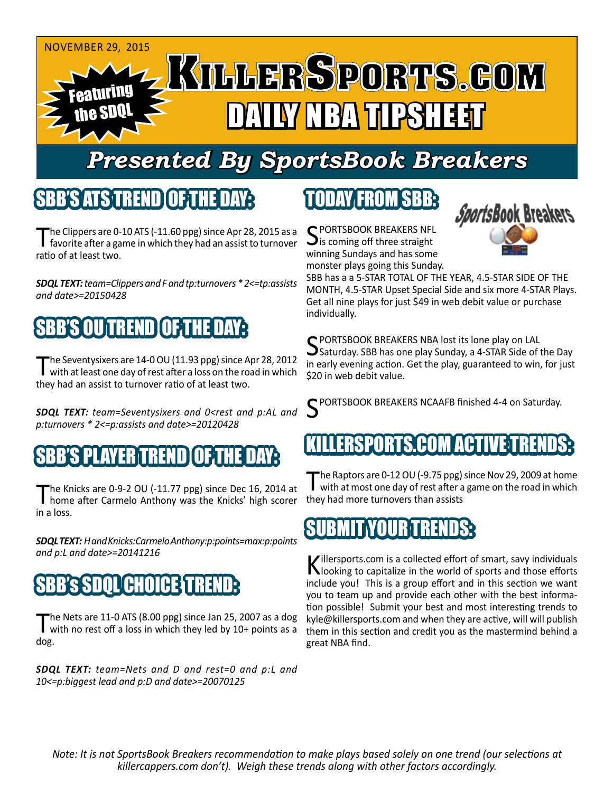

# *Presented By SportsBook Breakers*

### SBB'S'ATSTREN

The Clippers are 0-10 ATS (-11.60 ppg) since Apr 28, 2015 as a favorite after a game in which they had an assist to turnover ratio of at least two.

*SDQL TEXT: team=Clippers and F and tp:turnovers \* 2<=tp:assists and date>=20150428*

## TREND

The Seventysixers are 14-0 OU (11.93 ppg) since Apr 28, 2012<br>with at least one day of rest after a loss on the road in which they had an assist to turnover ratio of at least two.

*SDQL TEXT: team=Seventysixers and 0<rest and p:AL and p:turnovers \* 2<=p:assists and date>=20120428*

#### SBB'S PLAYER TREND OF THE DAY:

The Knicks are 0-9-2 OU (-11.77 ppg) since Dec 16, 2014 at home after Carmelo Anthony was the Knicks' high scorer in a loss.

*SDQL TEXT: H and Knicks:Carmelo Anthony:p:points=max:p:points and p:L and date>=20141216*

## **SBB's SDOL CHOICE TRE**

The Nets are 11-0 ATS (8.00 ppg) since Jan 25, 2007 as a dog<br>with no rest off a loss in which they led by 10+ points as a dog.

*SDQL TEXT: team=Nets and D and rest=0 and p:L and 10<=p:biggest lead and p:D and date>=20070125*

## TODAY FROM SBB:

C PORTSBOOK BREAKERS NFL  $\mathbf{\mathcal{S}}$  is coming off three straight winning Sundays and has some monster plays going this Sunday.



SBB has a a 5-STAR TOTAL OF THE YEAR, 4.5-STAR SIDE OF THE MONTH, 4.5-STAR Upset Special Side and six more 4-STAR Plays. Get all nine plays for just \$49 in web debit value or purchase individually.

C PORTSBOOK BREAKERS NBA lost its lone play on LAL  $\bigcup$  Saturday. SBB has one play Sunday, a 4-STAR Side of the Day in early evening action. Get the play, guaranteed to win, for just \$20 in web debit value.

C PORTSBOOK BREAKERS NCAAFB finished 4-4 on Saturday.

#### ERSPORTS.COM ACT

The Raptors are 0-12 OU (-9.75 ppg) since Nov 29, 2009 at home<br>with at most one day of rest after a game on the road in which they had more turnovers than assists

#### SUBMIT YOUR TRENDS:

Killersports.com is a collected effort of smart, savy individuals<br>Nooking to capitalize in the world of sports and those efforts include you! This is a group effort and in this section we want you to team up and provide each other with the best information possible! Submit your best and most interesting trends to kyle@killersports.com and when they are active, will will publish them in this section and credit you as the mastermind behind a great NBA find.

*Note: It is not SportsBook Breakers recommendation to make plays based solely on one trend (our selections at killercappers.com don't). Weigh these trends along with other factors accordingly.*